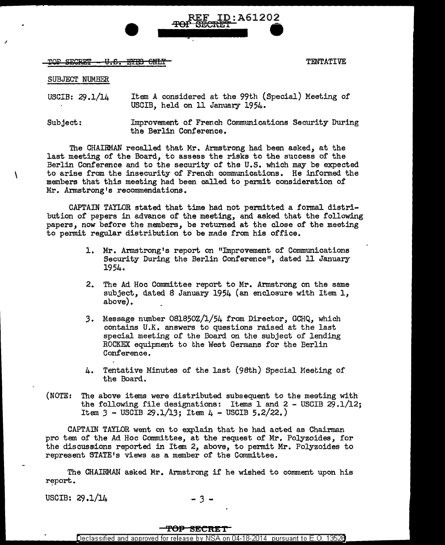TOP SECRET - U.S. EYES ONLY TENTATIVE

SUBJECT NUMBER

J

 $\mathcal{L}_{\mathcal{L}}$ 

USCIB: 29.1/14 Item A considered at the 99th (Special) Meeting of USCIB, held on 11 January 1954.

REF ID:A61202

TOF SECRET \_\_\_

Subject: Improvement of French Communications Security During the Berlin Conference.

The CHAIRMAN recalled that Mr. Armstrong had been asked, at the last meeting of the Board, to assess the risks to the success of the Berlin Conference and to the security of the U.S. which may be expected to arise from the insecurity of French communications. He informed the members that this meeting had been called to permit consideration of Mr. Armstrong's recommendations.

CAPTAIN TAYLOR stated that time had not permitted a formal distribution of papers in advance of the meeting, and asked that the following papers, now before the members, be returned at the close of the meeting to permit regular distribution to be made from his office.

- 1. Mr. Armstrong's report on "Improvement of Communications Security During the Berlin Conference", dated 11 January 1954.
- 2. The Ad Hoc Committee report to Mr. Armstrong on the same subject, dated 8 January 1954 (an enclosure with Item 1, above).
- 3. Message number 081850Z/l/54 from Director, GCHQ, which contains U.K. answers to questions raised at the last special meeting of the Doard on the subject of lending ROCKEX equipment to the West Germans for the Berlin Conference.
- $4.$  Tentative Minutes of the last (98th) Special Meeting of the Board.
- (NOTE: The above items were distributed subsequent to the meeting with the following file designations: Items 1 and 2 - USCIB  $29.1/12$ ; Item  $3$  - USCIB 29.1/13; Item  $4$  - USCIB 5.2/22.)

CAPTAIN TAYLOR went on to explain that he had acted as Chairman pro tem of the Ad Hoc Committee, at the request of Mr. Polyzoides, for the discus&ions reported in Item *2,* above, to permit Mr. Polyzoides to represent STATE's views as a member of the Committee.

The CHAIRMAN asked Mr. Armstrong if he wished to comment upon his report.

USCIB:  $29.1/14$  - 3 -

## **TOP SECRET**

Declassified and approved for release by NSA on 04-18-2014 pursuant to E.O. 13528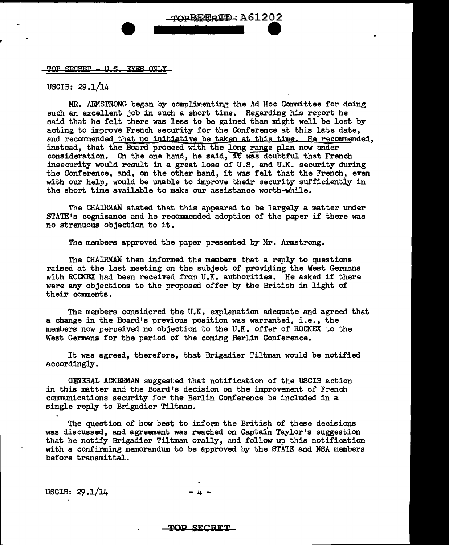## U.S. EYES ONLY **TOP SECRET**

USCIB: 29.1/14

MR. ARMSTRONG began by complimenting the Ad Hoc Committee for doing such an excellent job in such a short time. Regarding his report he said that he felt there was less to be gained than might well be lost by acting to improve French security for the Conference at this late date, and recommended that no initiative be taken at this time. He recommended, instead, that the Board proceed with the long range plan now under consideration. On the one hand, he said, it was doubtful that French insecurity would result in a great loss of U.S. and U.K. security during the Conference, and, on the other hand, it was felt that the French, even with our help, would be unable to improve their security sufficiently in the short time available to make our assistance worth-while.

TOPREERTED: A61202

The CHAIRMAN stated that this appeared to be largely a matter under STATE's cognizance and he recommended adoption of the paper if there was no strenuous objection to it.

The members approved the paper presented by Mr. Armstrong.

The CHAIRMAN then informed the members that a reply to questions raised at the last meeting on the subject of providing the West Germans with ROCKEX had been received from U.K. authorities. He asked if there were any objections to the proposed offer by the British in light of their comments.

The members considered the U.K. explanation adequate and agreed that a change in the Board's previous position was warranted, i.e., the members now perceived no objection to the U.K. offer of ROCKEX to the West Germans for the period of the coming Berlin Conference.

It was agreed, therefore, that Brigadier Tiltman would be notified accordingly.

GENERAL ACKERMAN suggested that notification of the USCIB action in this matter and the Board's decision on the improvement of French communications security for the Berlin Conference be included in a single reply to Brigadier Tiltman.

The question of how best to inform the British of these decisions was discussed, and agreement was reached on Captain Taylor's suggestion that he notify Brigadier Tiltman orally, and follow up this notification with a confirming memorandum to be approved by the STATE and NSA members before transmittal.

USCIB:  $29.1/14$ 

## **'l!OP SECRET**